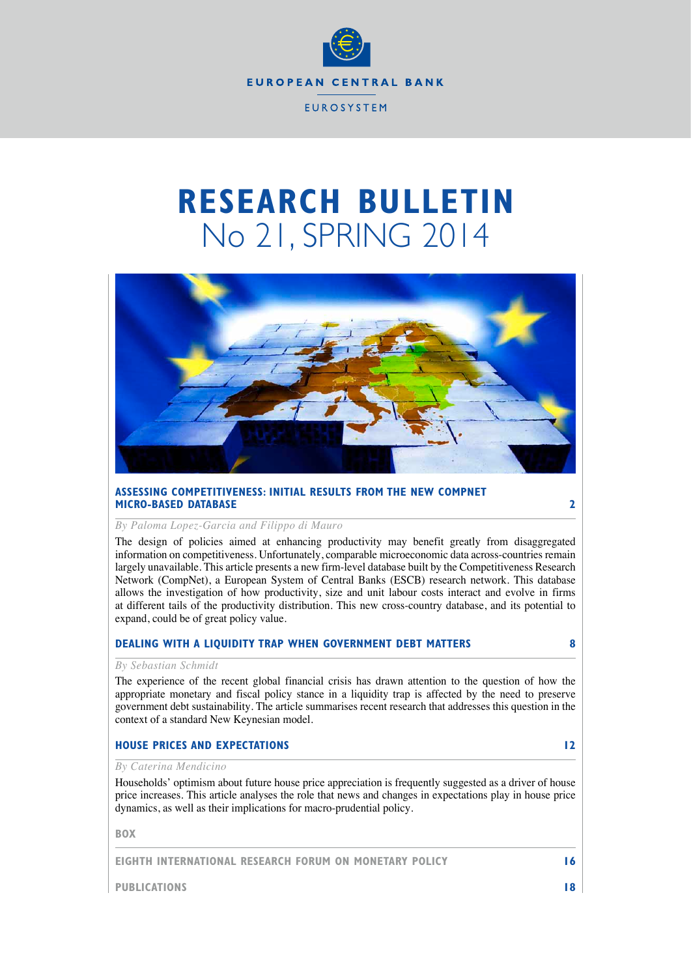

# **RESEARCH BULLETIN** No 21, SPRING 2014



# **Assessing competitiveness: initial results from the new compnet micro-based database 2**

*By Paloma Lopez-Garcia and Filippo di Mauro*

The design of policies aimed at enhancing productivity may benefit greatly from disaggregated information on competitiveness. Unfortunately, comparable microeconomic data across-countries remain largely unavailable. This article presents a new firm-level database built by the Competitiveness Research Network (CompNet), a European System of Central Banks (ESCB) research network. This database allows the investigation of how productivity, size and unit labour costs interact and evolve in firms at different tails of the productivity distribution. This new cross-country database, and its potential to expand, could be of great policy value.

#### **Dealing with a Liquidity Trap when Government Debt Matters 8**

#### *By Sebastian Schmidt*

The experience of the recent global financial crisis has drawn attention to the question of how the appropriate monetary and fiscal policy stance in a liquidity trap is affected by the need to preserve government debt sustainability. The article summarises recent research that addresses this question in the context of a standard New Keynesian model.

## **HOUSE PRICES AND EXPECTATIONS 12**

#### *By Caterina Mendicino*

Households' optimism about future house price appreciation is frequently suggested as a driver of house price increases. This article analyses the role that news and changes in expectations play in house price dynamics, as well as their implications for macro-prudential policy.

**Box**

#### **eighth International Research Forum on Monetary Policy 16**

**publications 18**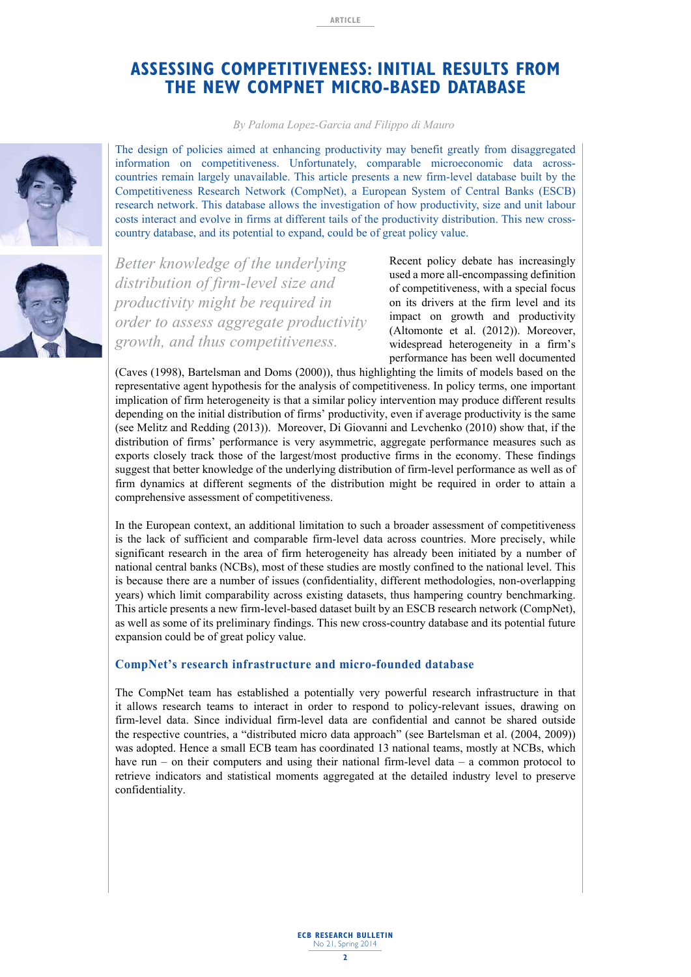# **Assessing competitiveness: initial results from the new compnet micro-based database**

*By Paloma Lopez-Garcia and Filippo di Mauro*

The design of policies aimed at enhancing productivity may benefit greatly from disaggregated information on competitiveness. Unfortunately, comparable microeconomic data acrosscountries remain largely unavailable. This article presents a new firm-level database built by the Competitiveness Research Network (CompNet), a European System of Central Banks (ESCB) research network. This database allows the investigation of how productivity, size and unit labour costs interact and evolve in firms at different tails of the productivity distribution. This new crosscountry database, and its potential to expand, could be of great policy value.



*Better knowledge of the underlying distribution of firm-level size and productivity might be required in order to assess aggregate productivity growth, and thus competitiveness.*

Recent policy debate has increasingly used a more all-encompassing definition of competitiveness, with a special focus on its drivers at the firm level and its impact on growth and productivity (Altomonte et al. (2012)). Moreover, widespread heterogeneity in a firm's performance has been well documented

(Caves (1998), Bartelsman and Doms (2000)), thus highlighting the limits of models based on the representative agent hypothesis for the analysis of competitiveness. In policy terms, one important implication of firm heterogeneity is that a similar policy intervention may produce different results depending on the initial distribution of firms' productivity, even if average productivity is the same (see Melitz and Redding (2013)). Moreover, Di Giovanni and Levchenko (2010) show that, if the distribution of firms' performance is very asymmetric, aggregate performance measures such as exports closely track those of the largest/most productive firms in the economy. These findings suggest that better knowledge of the underlying distribution of firm-level performance as well as of firm dynamics at different segments of the distribution might be required in order to attain a comprehensive assessment of competitiveness.

In the European context, an additional limitation to such a broader assessment of competitiveness is the lack of sufficient and comparable firm-level data across countries. More precisely, while significant research in the area of firm heterogeneity has already been initiated by a number of national central banks (NCBs), most of these studies are mostly confined to the national level. This is because there are a number of issues (confidentiality, different methodologies, non-overlapping years) which limit comparability across existing datasets, thus hampering country benchmarking. This article presents a new firm-level-based dataset built by an ESCB research network (CompNet), as well as some of its preliminary findings. This new cross-country database and its potential future expansion could be of great policy value.

#### **CompNet's research infrastructure and micro-founded database**

The CompNet team has established a potentially very powerful research infrastructure in that it allows research teams to interact in order to respond to policy-relevant issues, drawing on firm-level data. Since individual firm-level data are confidential and cannot be shared outside the respective countries, a "distributed micro data approach" (see Bartelsman et al. (2004, 2009)) was adopted. Hence a small ECB team has coordinated 13 national teams, mostly at NCBs, which have run – on their computers and using their national firm-level data – a common protocol to retrieve indicators and statistical moments aggregated at the detailed industry level to preserve confidentiality.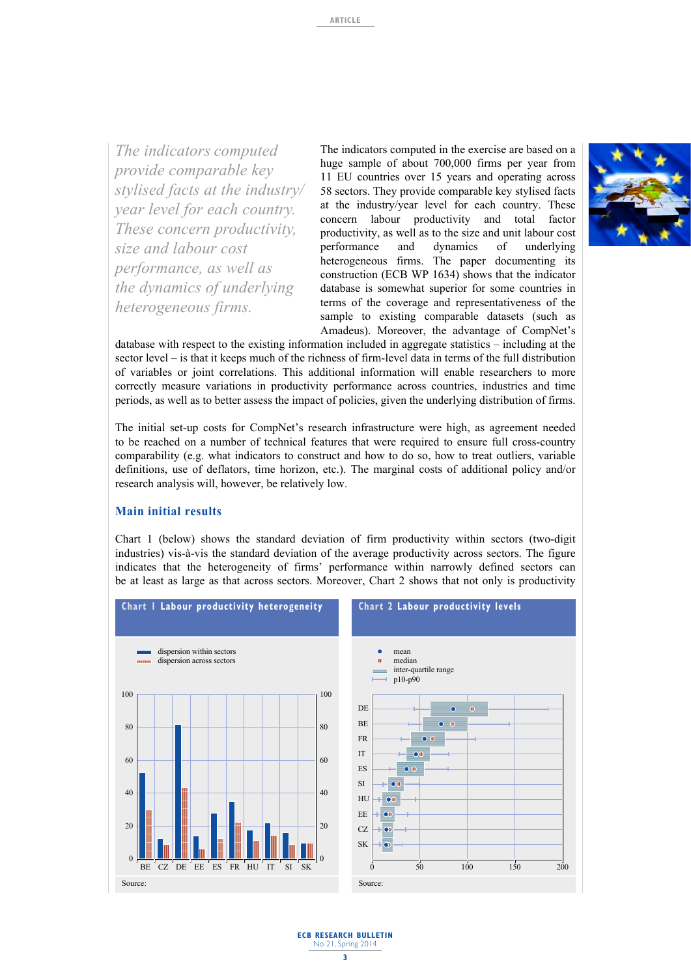*The indicators computed provide comparable key stylised facts at the industry/ year level for each country. These concern productivity, size and labour cost performance, as well as the dynamics of underlying heterogeneous firms.*

The indicators computed in the exercise are based on a huge sample of about 700,000 firms per year from 11 EU countries over 15 years and operating across 58 sectors. They provide comparable key stylised facts at the industry/year level for each country. These concern labour productivity and total factor productivity, as well as to the size and unit labour cost performance and dynamics of underlying heterogeneous firms. The paper documenting its construction (ECB WP 1634) shows that the indicator database is somewhat superior for some countries in terms of the coverage and representativeness of the sample to existing comparable datasets (such as



The initial set-up costs for CompNet's research infrastructure were high, as agreement needed to be reached on a number of technical features that were required to ensure full cross-country comparability (e.g. what indicators to construct and how to do so, how to treat outliers, variable definitions, use of deflators, time horizon, etc.). The marginal costs of additional policy and/or research analysis will, however, be relatively low.

#### **Main initial results**

Chart 1 (below) shows the standard deviation of firm productivity within sectors (two-digit industries) vis-à-vis the standard deviation of the average productivity across sectors. The figure indicates that the heterogeneity of firms' performance within narrowly defined sectors can be at least as large as that across sectors. Moreover, Chart 2 shows that not only is productivity

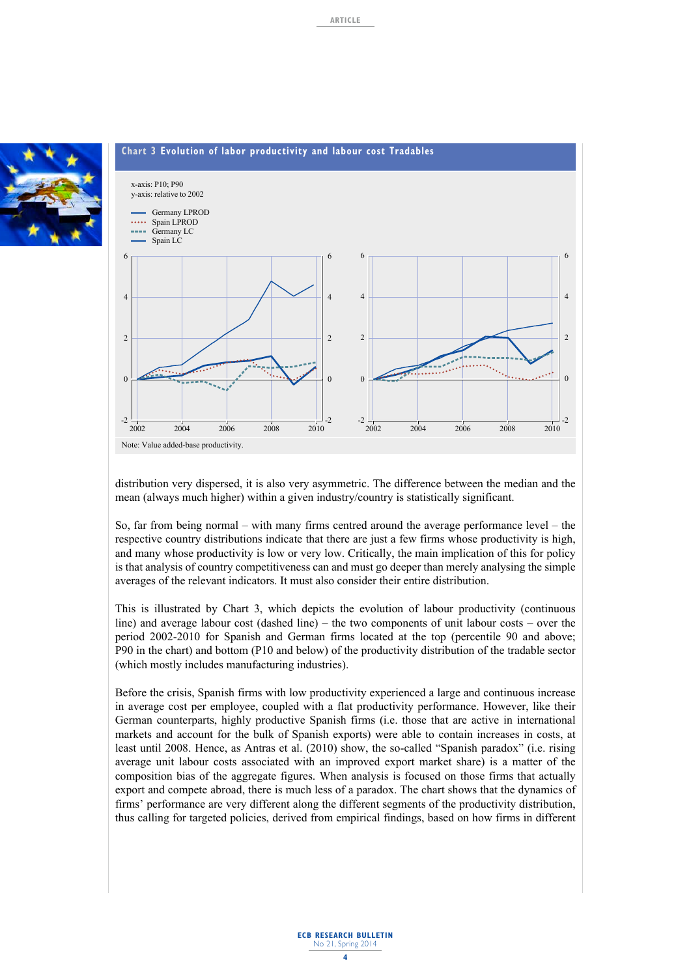



distribution very dispersed, it is also very asymmetric. The difference between the median and the mean (always much higher) within a given industry/country is statistically significant.

So, far from being normal – with many firms centred around the average performance level – the respective country distributions indicate that there are just a few firms whose productivity is high, and many whose productivity is low or very low. Critically, the main implication of this for policy is that analysis of country competitiveness can and must go deeper than merely analysing the simple averages of the relevant indicators. It must also consider their entire distribution.

This is illustrated by Chart 3, which depicts the evolution of labour productivity (continuous line) and average labour cost (dashed line) – the two components of unit labour costs – over the period 2002-2010 for Spanish and German firms located at the top (percentile 90 and above; P90 in the chart) and bottom (P10 and below) of the productivity distribution of the tradable sector (which mostly includes manufacturing industries).

Before the crisis, Spanish firms with low productivity experienced a large and continuous increase in average cost per employee, coupled with a flat productivity performance. However, like their German counterparts, highly productive Spanish firms (i.e. those that are active in international markets and account for the bulk of Spanish exports) were able to contain increases in costs, at least until 2008. Hence, as Antras et al. (2010) show, the so-called "Spanish paradox" (i.e. rising average unit labour costs associated with an improved export market share) is a matter of the composition bias of the aggregate figures. When analysis is focused on those firms that actually export and compete abroad, there is much less of a paradox. The chart shows that the dynamics of firms' performance are very different along the different segments of the productivity distribution, thus calling for targeted policies, derived from empirical findings, based on how firms in different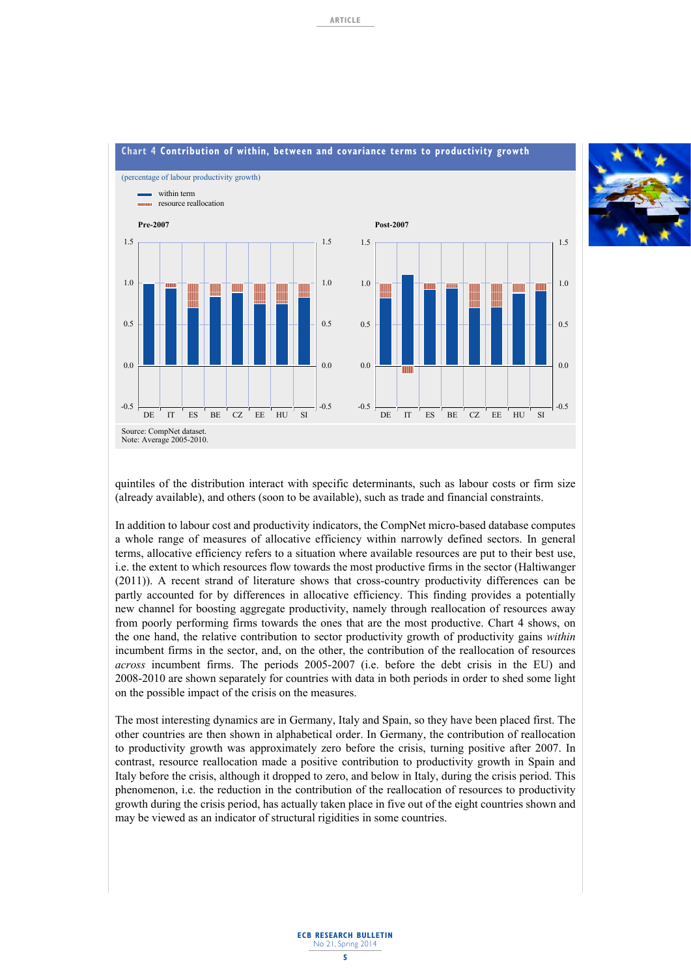

quintiles of the distribution interact with specific determinants, such as labour costs or firm size (already available), and others (soon to be available), such as trade and financial constraints.

In addition to labour cost and productivity indicators, the CompNet micro-based database computes a whole range of measures of allocative efficiency within narrowly defined sectors. In general terms, allocative efficiency refers to a situation where available resources are put to their best use, i.e. the extent to which resources flow towards the most productive firms in the sector (Haltiwanger (2011)). A recent strand of literature shows that cross-country productivity differences can be partly accounted for by differences in allocative efficiency. This finding provides a potentially new channel for boosting aggregate productivity, namely through reallocation of resources away from poorly performing firms towards the ones that are the most productive. Chart 4 shows, on the one hand, the relative contribution to sector productivity growth of productivity gains *within* incumbent firms in the sector, and, on the other, the contribution of the reallocation of resources *across* incumbent firms. The periods 2005-2007 (i.e. before the debt crisis in the EU) and 2008-2010 are shown separately for countries with data in both periods in order to shed some light on the possible impact of the crisis on the measures.

The most interesting dynamics are in Germany, Italy and Spain, so they have been placed first. The other countries are then shown in alphabetical order. In Germany, the contribution of reallocation to productivity growth was approximately zero before the crisis, turning positive after 2007. In contrast, resource reallocation made a positive contribution to productivity growth in Spain and Italy before the crisis, although it dropped to zero, and below in Italy, during the crisis period. This phenomenon, i.e. the reduction in the contribution of the reallocation of resources to productivity growth during the crisis period, has actually taken place in five out of the eight countries shown and may be viewed as an indicator of structural rigidities in some countries.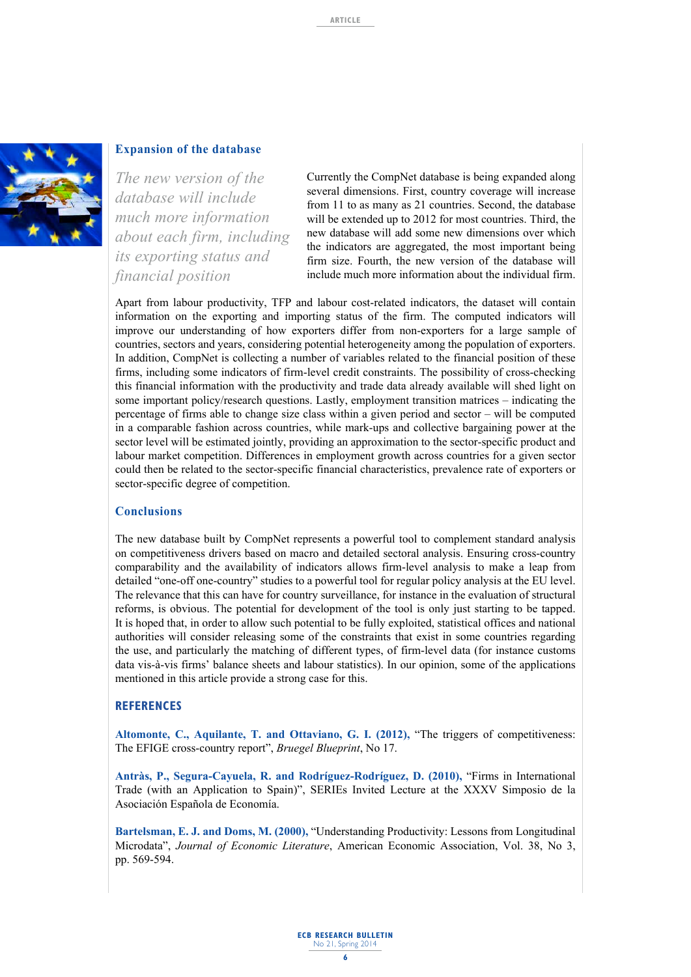

#### **Expansion of the database**

*The new version of the database will include much more information about each firm, including its exporting status and financial position*

Currently the CompNet database is being expanded along several dimensions. First, country coverage will increase from 11 to as many as 21 countries. Second, the database will be extended up to 2012 for most countries. Third, the new database will add some new dimensions over which the indicators are aggregated, the most important being firm size. Fourth, the new version of the database will include much more information about the individual firm.

Apart from labour productivity, TFP and labour cost-related indicators, the dataset will contain information on the exporting and importing status of the firm. The computed indicators will improve our understanding of how exporters differ from non-exporters for a large sample of countries, sectors and years, considering potential heterogeneity among the population of exporters. In addition, CompNet is collecting a number of variables related to the financial position of these firms, including some indicators of firm-level credit constraints. The possibility of cross-checking this financial information with the productivity and trade data already available will shed light on some important policy/research questions. Lastly, employment transition matrices – indicating the percentage of firms able to change size class within a given period and sector – will be computed in a comparable fashion across countries, while mark-ups and collective bargaining power at the sector level will be estimated jointly, providing an approximation to the sector-specific product and labour market competition. Differences in employment growth across countries for a given sector could then be related to the sector-specific financial characteristics, prevalence rate of exporters or sector-specific degree of competition.

#### **Conclusions**

The new database built by CompNet represents a powerful tool to complement standard analysis on competitiveness drivers based on macro and detailed sectoral analysis. Ensuring cross-country comparability and the availability of indicators allows firm-level analysis to make a leap from detailed "one-off one-country" studies to a powerful tool for regular policy analysis at the EU level. The relevance that this can have for country surveillance, for instance in the evaluation of structural reforms, is obvious. The potential for development of the tool is only just starting to be tapped. It is hoped that, in order to allow such potential to be fully exploited, statistical offices and national authorities will consider releasing some of the constraints that exist in some countries regarding the use, and particularly the matching of different types, of firm-level data (for instance customs data vis-à-vis firms' balance sheets and labour statistics). In our opinion, some of the applications mentioned in this article provide a strong case for this.

# **References**

**Altomonte, C., Aquilante, T. and Ottaviano, G. I. (2012),** "The triggers of competitiveness: The EFIGE cross-country report", *Bruegel Blueprint*, No 17.

**Antràs, P., Segura-Cayuela, R. and Rodríguez-Rodríguez, D. (2010),** "Firms in International Trade (with an Application to Spain)", SERIEs Invited Lecture at the XXXV Simposio de la Asociación Española de Economía.

**Bartelsman, E. J. and Doms, M. (2000),** "Understanding Productivity: Lessons from Longitudinal Microdata", *Journal of Economic Literature*, American Economic Association, Vol. 38, No 3, pp. 569-594.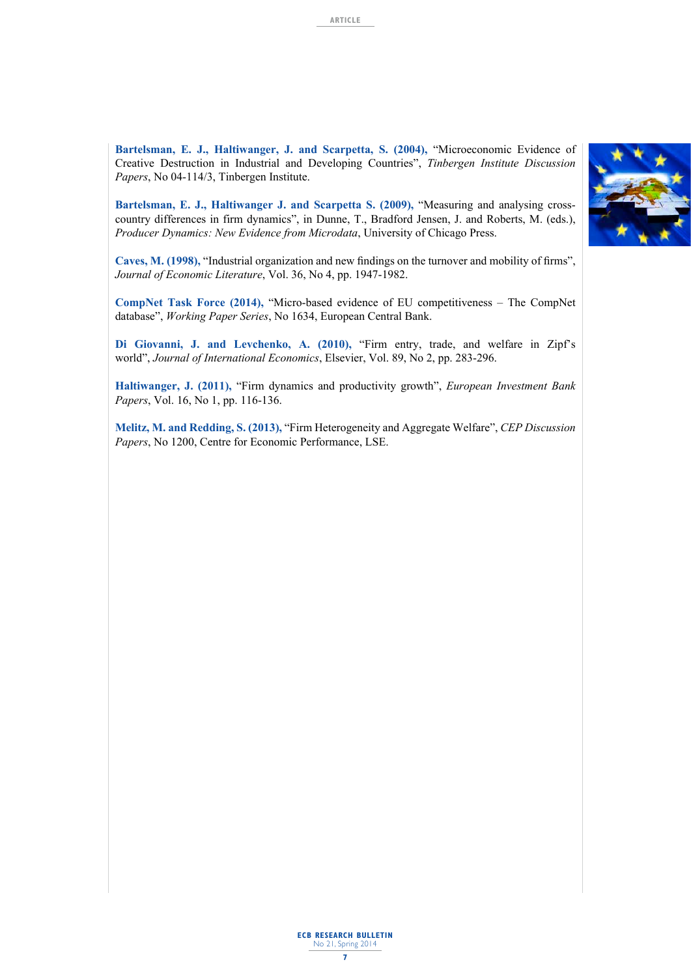**Bartelsman, E. J., Haltiwanger, J. and Scarpetta, S. (2004),** "Microeconomic Evidence of Creative Destruction in Industrial and Developing Countries", *Tinbergen Institute Discussion Papers*, No 04-114/3, Tinbergen Institute.

**Bartelsman, E. J., Haltiwanger J. and Scarpetta S. (2009),** "Measuring and analysing crosscountry differences in firm dynamics", in Dunne, T., Bradford Jensen, J. and Roberts, M. (eds.), *Producer Dynamics: New Evidence from Microdata*, University of Chicago Press.

**Caves, M. (1998),** "Industrial organization and new findings on the turnover and mobility of firms", *Journal of Economic Literature*, Vol. 36, No 4, pp. 1947-1982.

**CompNet Task Force (2014),** "Micro-based evidence of EU competitiveness – The CompNet database", *Working Paper Series*, No 1634, European Central Bank.

**Di Giovanni, J. and Levchenko, A. (2010),** "Firm entry, trade, and welfare in Zipf's world", *Journal of International Economics*, Elsevier, Vol. 89, No 2, pp. 283-296.

**Haltiwanger, J. (2011),** "Firm dynamics and productivity growth", *European Investment Bank Papers*, Vol. 16, No 1, pp. 116-136.

**Melitz, M. and Redding, S. (2013),** "Firm Heterogeneity and Aggregate Welfare", *CEP Discussion Papers*, No 1200, Centre for Economic Performance, LSE.



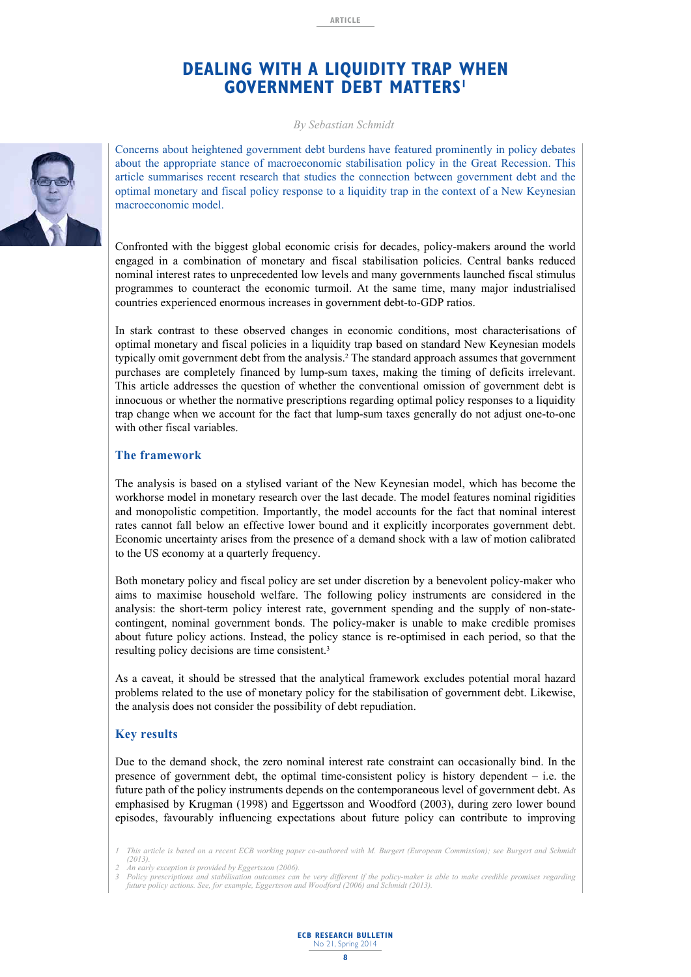# **Dealing with a Liquidity Trap when Government Debt Matters1**

*By Sebastian Schmidt*

Concerns about heightened government debt burdens have featured prominently in policy debates about the appropriate stance of macroeconomic stabilisation policy in the Great Recession. This article summarises recent research that studies the connection between government debt and the optimal monetary and fiscal policy response to a liquidity trap in the context of a New Keynesian macroeconomic model.

> Confronted with the biggest global economic crisis for decades, policy-makers around the world engaged in a combination of monetary and fiscal stabilisation policies. Central banks reduced nominal interest rates to unprecedented low levels and many governments launched fiscal stimulus programmes to counteract the economic turmoil. At the same time, many major industrialised countries experienced enormous increases in government debt-to-GDP ratios.

> In stark contrast to these observed changes in economic conditions, most characterisations of optimal monetary and fiscal policies in a liquidity trap based on standard New Keynesian models typically omit government debt from the analysis.2 The standard approach assumes that government purchases are completely financed by lump-sum taxes, making the timing of deficits irrelevant. This article addresses the question of whether the conventional omission of government debt is innocuous or whether the normative prescriptions regarding optimal policy responses to a liquidity trap change when we account for the fact that lump-sum taxes generally do not adjust one-to-one with other fiscal variables.

#### **The framework**

The analysis is based on a stylised variant of the New Keynesian model, which has become the workhorse model in monetary research over the last decade. The model features nominal rigidities and monopolistic competition. Importantly, the model accounts for the fact that nominal interest rates cannot fall below an effective lower bound and it explicitly incorporates government debt. Economic uncertainty arises from the presence of a demand shock with a law of motion calibrated to the US economy at a quarterly frequency.

Both monetary policy and fiscal policy are set under discretion by a benevolent policy-maker who aims to maximise household welfare. The following policy instruments are considered in the analysis: the short-term policy interest rate, government spending and the supply of non-statecontingent, nominal government bonds. The policy-maker is unable to make credible promises about future policy actions. Instead, the policy stance is re-optimised in each period, so that the resulting policy decisions are time consistent.3

As a caveat, it should be stressed that the analytical framework excludes potential moral hazard problems related to the use of monetary policy for the stabilisation of government debt. Likewise, the analysis does not consider the possibility of debt repudiation.

## **Key results**

Due to the demand shock, the zero nominal interest rate constraint can occasionally bind. In the presence of government debt, the optimal time-consistent policy is history dependent  $-$  i.e. the future path of the policy instruments depends on the contemporaneous level of government debt. As emphasised by Krugman (1998) and Eggertsson and Woodford (2003), during zero lower bound episodes, favourably influencing expectations about future policy can contribute to improving

*1 This article is based on a recent ECB working paper co-authored with M. Burgert (European Commission); see Burgert and Schmidt (2013).*



*<sup>2</sup> An early exception is provided by Eggertsson (2006).*

*<sup>3</sup> Policy prescriptions and stabilisation outcomes can be very different if the policy-maker is able to make credible promises regarding future policy actions. See, for example, Eggertsson and Woodford (2006) and Schmidt (2013).*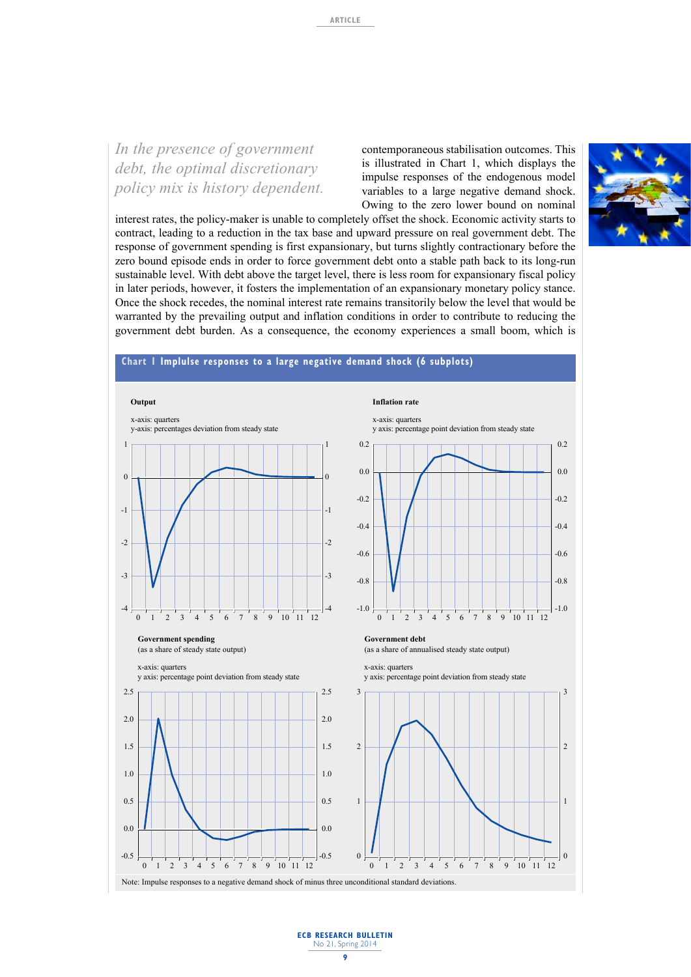# *In the presence of government debt, the optimal discretionary policy mix is history dependent.*

contemporaneous stabilisation outcomes. This is illustrated in Chart 1, which displays the impulse responses of the endogenous model variables to a large negative demand shock. Owing to the zero lower bound on nominal



interest rates, the policy-maker is unable to completely offset the shock. Economic activity starts to contract, leading to a reduction in the tax base and upward pressure on real government debt. The response of government spending is first expansionary, but turns slightly contractionary before the zero bound episode ends in order to force government debt onto a stable path back to its long-run sustainable level. With debt above the target level, there is less room for expansionary fiscal policy in later periods, however, it fosters the implementation of an expansionary monetary policy stance. Once the shock recedes, the nominal interest rate remains transitorily below the level that would be warranted by the prevailing output and inflation conditions in order to contribute to reducing the government debt burden. As a consequence, the economy experiences a small boom, which is



#### **ECB RESEARCH BULLETIN** No 21, Spring 2014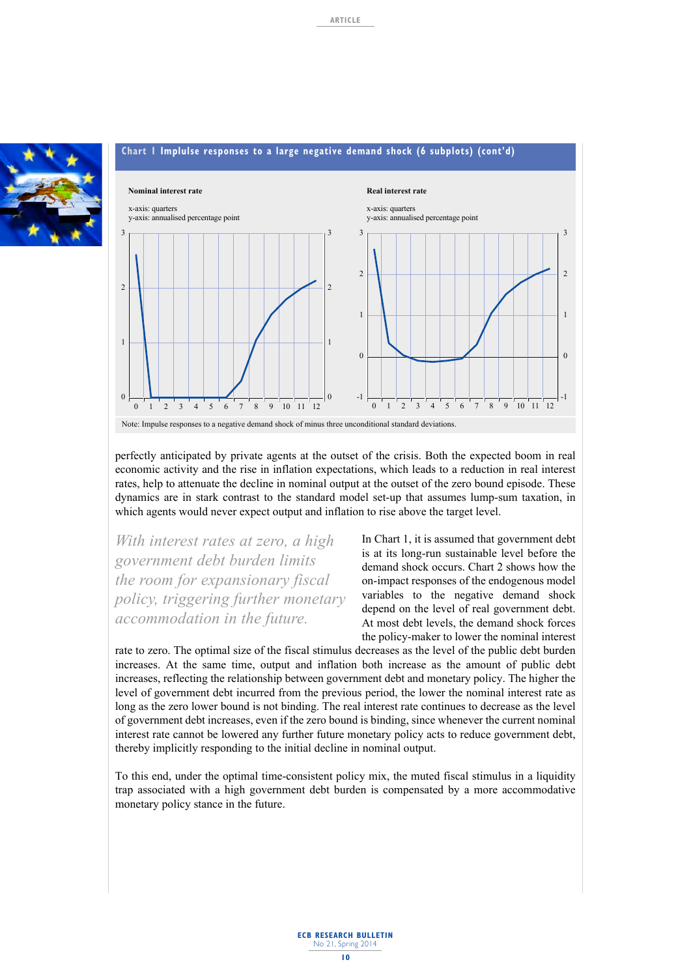



perfectly anticipated by private agents at the outset of the crisis. Both the expected boom in real economic activity and the rise in inflation expectations, which leads to a reduction in real interest rates, help to attenuate the decline in nominal output at the outset of the zero bound episode. These dynamics are in stark contrast to the standard model set-up that assumes lump-sum taxation, in which agents would never expect output and inflation to rise above the target level.

*With interest rates at zero, a high government debt burden limits the room for expansionary fiscal policy, triggering further monetary accommodation in the future.*

In Chart 1, it is assumed that government debt is at its long-run sustainable level before the demand shock occurs. Chart 2 shows how the on-impact responses of the endogenous model variables to the negative demand shock depend on the level of real government debt. At most debt levels, the demand shock forces the policy-maker to lower the nominal interest

rate to zero. The optimal size of the fiscal stimulus decreases as the level of the public debt burden increases. At the same time, output and inflation both increase as the amount of public debt increases, reflecting the relationship between government debt and monetary policy. The higher the level of government debt incurred from the previous period, the lower the nominal interest rate as long as the zero lower bound is not binding. The real interest rate continues to decrease as the level of government debt increases, even if the zero bound is binding, since whenever the current nominal interest rate cannot be lowered any further future monetary policy acts to reduce government debt, thereby implicitly responding to the initial decline in nominal output.

To this end, under the optimal time-consistent policy mix, the muted fiscal stimulus in a liquidity trap associated with a high government debt burden is compensated by a more accommodative monetary policy stance in the future.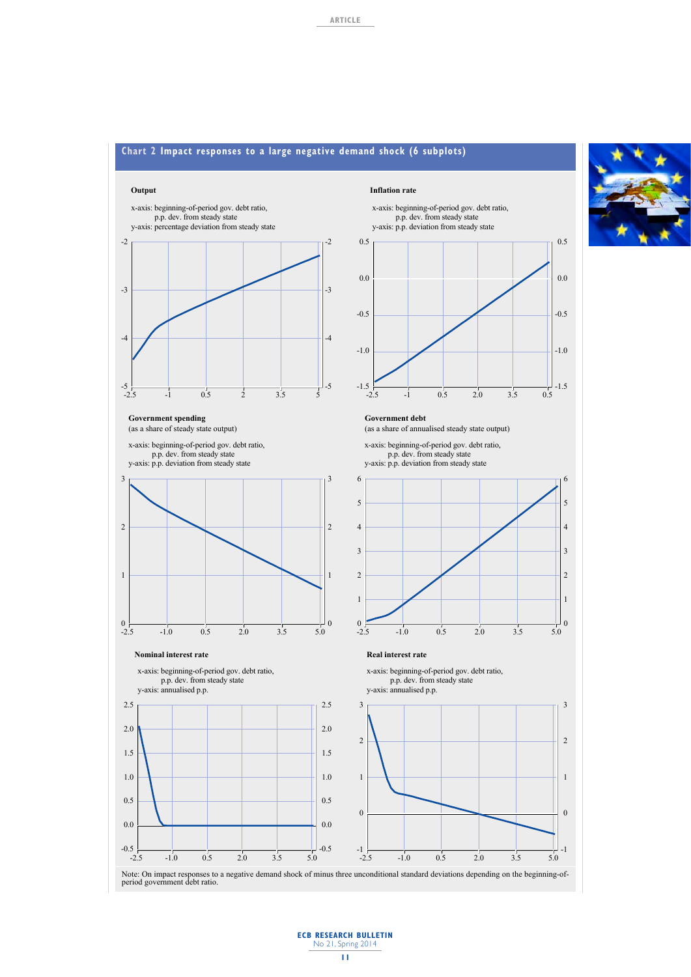

## **chart 2 impact responses to a large negative demand shock (6 subplots)**



**article**

**ECB RESEARCH BULLETIN** No 21, Spring 2014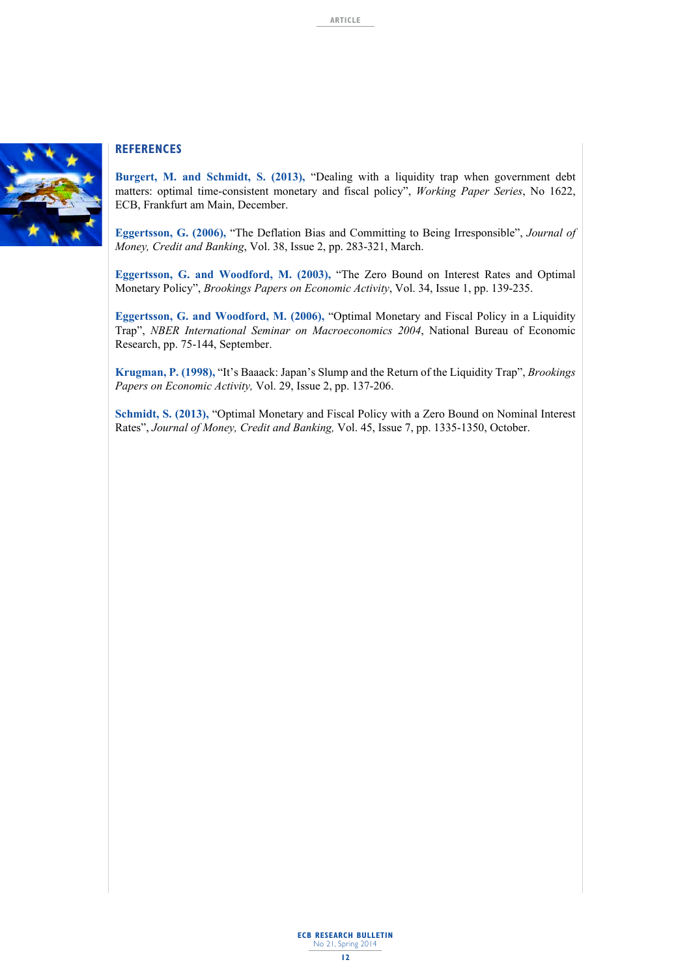

# **References**

**Burgert, M. and Schmidt, S. (2013),** "Dealing with a liquidity trap when government debt matters: optimal time-consistent monetary and fiscal policy", *Working Paper Series*, No 1622, ECB, Frankfurt am Main, December.

**Eggertsson, G. (2006),** "The Deflation Bias and Committing to Being Irresponsible", *Journal of Money, Credit and Banking*, Vol. 38, Issue 2, pp. 283-321, March.

**Eggertsson, G. and Woodford, M. (2003),** "The Zero Bound on Interest Rates and Optimal Monetary Policy", *Brookings Papers on Economic Activity*, Vol. 34, Issue 1, pp. 139-235.

**Eggertsson, G. and Woodford, M. (2006),** "Optimal Monetary and Fiscal Policy in a Liquidity Trap", *NBER International Seminar on Macroeconomics 2004*, National Bureau of Economic Research, pp. 75-144, September.

**Krugman, P. (1998),** "It's Baaack: Japan's Slump and the Return of the Liquidity Trap", *Brookings Papers on Economic Activity,* Vol. 29, Issue 2, pp. 137-206.

**Schmidt, S. (2013),** "Optimal Monetary and Fiscal Policy with a Zero Bound on Nominal Interest Rates", *Journal of Money, Credit and Banking,* Vol. 45, Issue 7, pp. 1335-1350, October.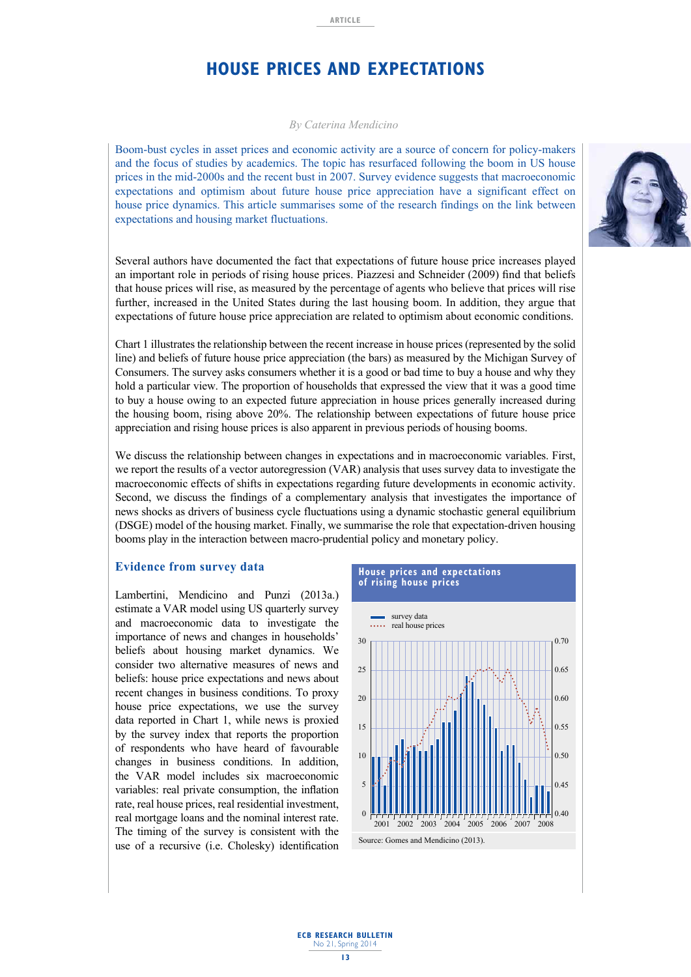# **HOUSE PRICES AND EXPECTATIONS**

#### *By Caterina Mendicino*

Boom-bust cycles in asset prices and economic activity are a source of concern for policy-makers and the focus of studies by academics. The topic has resurfaced following the boom in US house prices in the mid-2000s and the recent bust in 2007. Survey evidence suggests that macroeconomic expectations and optimism about future house price appreciation have a significant effect on house price dynamics. This article summarises some of the research findings on the link between expectations and housing market fluctuations.

Several authors have documented the fact that expectations of future house price increases played an important role in periods of rising house prices. Piazzesi and Schneider (2009) find that beliefs that house prices will rise, as measured by the percentage of agents who believe that prices will rise further, increased in the United States during the last housing boom. In addition, they argue that expectations of future house price appreciation are related to optimism about economic conditions.

Chart 1 illustrates the relationship between the recent increase in house prices (represented by the solid line) and beliefs of future house price appreciation (the bars) as measured by the Michigan Survey of Consumers. The survey asks consumers whether it is a good or bad time to buy a house and why they hold a particular view. The proportion of households that expressed the view that it was a good time to buy a house owing to an expected future appreciation in house prices generally increased during the housing boom, rising above 20%. The relationship between expectations of future house price appreciation and rising house prices is also apparent in previous periods of housing booms.

We discuss the relationship between changes in expectations and in macroeconomic variables. First, we report the results of a vector autoregression (VAR) analysis that uses survey data to investigate the macroeconomic effects of shifts in expectations regarding future developments in economic activity. Second, we discuss the findings of a complementary analysis that investigates the importance of news shocks as drivers of business cycle fluctuations using a dynamic stochastic general equilibrium (DSGE) model of the housing market. Finally, we summarise the role that expectation-driven housing booms play in the interaction between macro-prudential policy and monetary policy.

# **Evidence from survey data**

Lambertini, Mendicino and Punzi (2013a.) estimate a VAR model using US quarterly survey and macroeconomic data to investigate the importance of news and changes in households' beliefs about housing market dynamics. We consider two alternative measures of news and beliefs: house price expectations and news about recent changes in business conditions. To proxy house price expectations, we use the survey data reported in Chart 1, while news is proxied by the survey index that reports the proportion of respondents who have heard of favourable changes in business conditions. In addition, the VAR model includes six macroeconomic variables: real private consumption, the inflation rate, real house prices, real residential investment, real mortgage loans and the nominal interest rate. The timing of the survey is consistent with the use of a recursive (i.e. Cholesky) identification

#### **house prices and expectations of rising house prices**



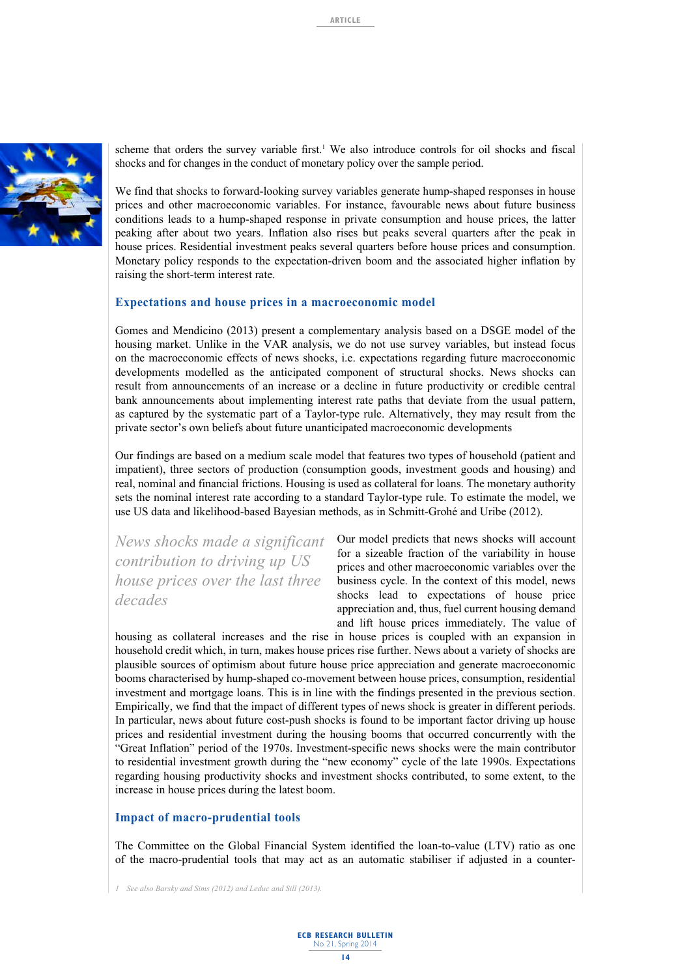

scheme that orders the survey variable first.<sup>1</sup> We also introduce controls for oil shocks and fiscal shocks and for changes in the conduct of monetary policy over the sample period.

We find that shocks to forward-looking survey variables generate hump-shaped responses in house prices and other macroeconomic variables. For instance, favourable news about future business conditions leads to a hump-shaped response in private consumption and house prices, the latter peaking after about two years. Inflation also rises but peaks several quarters after the peak in house prices. Residential investment peaks several quarters before house prices and consumption. Monetary policy responds to the expectation-driven boom and the associated higher inflation by raising the short-term interest rate.

## **Expectations and house prices in a macroeconomic model**

Gomes and Mendicino (2013) present a complementary analysis based on a DSGE model of the housing market. Unlike in the VAR analysis, we do not use survey variables, but instead focus on the macroeconomic effects of news shocks, i.e. expectations regarding future macroeconomic developments modelled as the anticipated component of structural shocks. News shocks can result from announcements of an increase or a decline in future productivity or credible central bank announcements about implementing interest rate paths that deviate from the usual pattern, as captured by the systematic part of a Taylor-type rule. Alternatively, they may result from the private sector's own beliefs about future unanticipated macroeconomic developments

Our findings are based on a medium scale model that features two types of household (patient and impatient), three sectors of production (consumption goods, investment goods and housing) and real, nominal and financial frictions. Housing is used as collateral for loans. The monetary authority sets the nominal interest rate according to a standard Taylor-type rule. To estimate the model, we use US data and likelihood-based Bayesian methods, as in Schmitt-Grohé and Uribe (2012).

*News shocks made a significant contribution to driving up US house prices over the last three decades*

Our model predicts that news shocks will account for a sizeable fraction of the variability in house prices and other macroeconomic variables over the business cycle. In the context of this model, news shocks lead to expectations of house price appreciation and, thus, fuel current housing demand and lift house prices immediately. The value of

housing as collateral increases and the rise in house prices is coupled with an expansion in household credit which, in turn, makes house prices rise further. News about a variety of shocks are plausible sources of optimism about future house price appreciation and generate macroeconomic booms characterised by hump-shaped co-movement between house prices, consumption, residential investment and mortgage loans. This is in line with the findings presented in the previous section. Empirically, we find that the impact of different types of news shock is greater in different periods. In particular, news about future cost-push shocks is found to be important factor driving up house prices and residential investment during the housing booms that occurred concurrently with the "Great Inflation" period of the 1970s. Investment-specific news shocks were the main contributor to residential investment growth during the "new economy" cycle of the late 1990s. Expectations regarding housing productivity shocks and investment shocks contributed, to some extent, to the increase in house prices during the latest boom.

# **Impact of macro-prudential tools**

The Committee on the Global Financial System identified the loan-to-value (LTV) ratio as one of the macro-prudential tools that may act as an automatic stabiliser if adjusted in a counter-

*<sup>1</sup> See also Barsky and Sims (2012) and Leduc and Sill (2013).*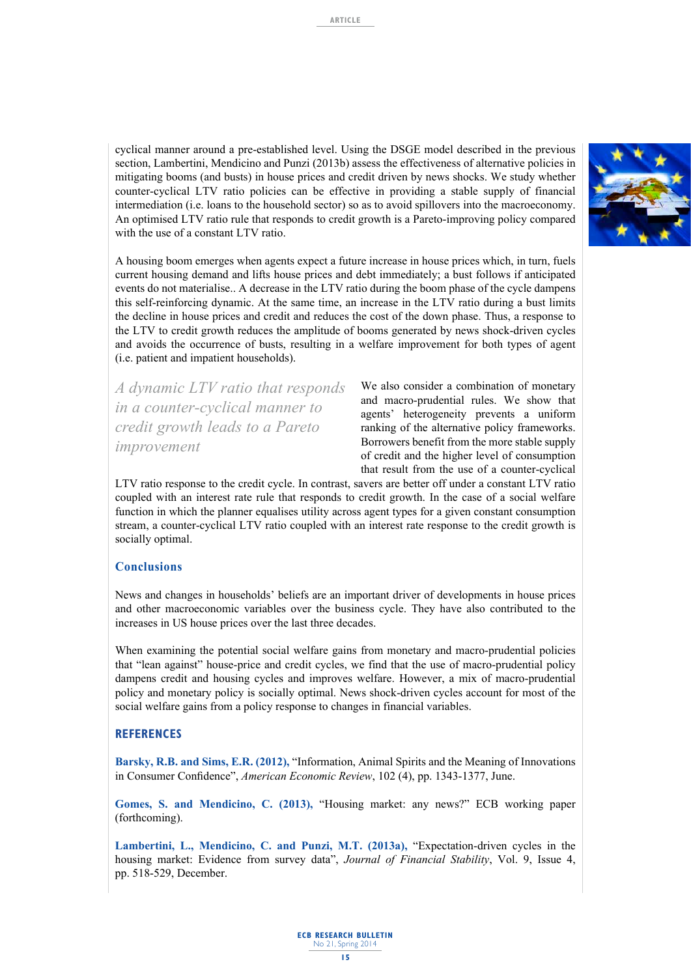cyclical manner around a pre-established level. Using the DSGE model described in the previous section, Lambertini, Mendicino and Punzi (2013b) assess the effectiveness of alternative policies in mitigating booms (and busts) in house prices and credit driven by news shocks. We study whether counter-cyclical LTV ratio policies can be effective in providing a stable supply of financial intermediation (i.e. loans to the household sector) so as to avoid spillovers into the macroeconomy. An optimised LTV ratio rule that responds to credit growth is a Pareto-improving policy compared with the use of a constant LTV ratio.

A housing boom emerges when agents expect a future increase in house prices which, in turn, fuels current housing demand and lifts house prices and debt immediately; a bust follows if anticipated events do not materialise.. A decrease in the LTV ratio during the boom phase of the cycle dampens this self-reinforcing dynamic. At the same time, an increase in the LTV ratio during a bust limits the decline in house prices and credit and reduces the cost of the down phase. Thus, a response to the LTV to credit growth reduces the amplitude of booms generated by news shock-driven cycles and avoids the occurrence of busts, resulting in a welfare improvement for both types of agent (i.e. patient and impatient households).

*A dynamic LTV ratio that responds in a counter-cyclical manner to credit growth leads to a Pareto improvement*

We also consider a combination of monetary and macro-prudential rules. We show that agents' heterogeneity prevents a uniform ranking of the alternative policy frameworks. Borrowers benefit from the more stable supply of credit and the higher level of consumption that result from the use of a counter-cyclical

LTV ratio response to the credit cycle. In contrast, savers are better off under a constant LTV ratio coupled with an interest rate rule that responds to credit growth. In the case of a social welfare function in which the planner equalises utility across agent types for a given constant consumption stream, a counter-cyclical LTV ratio coupled with an interest rate response to the credit growth is socially optimal.

# **Conclusions**

News and changes in households' beliefs are an important driver of developments in house prices and other macroeconomic variables over the business cycle. They have also contributed to the increases in US house prices over the last three decades.

When examining the potential social welfare gains from monetary and macro-prudential policies that "lean against" house-price and credit cycles, we find that the use of macro-prudential policy dampens credit and housing cycles and improves welfare. However, a mix of macro-prudential policy and monetary policy is socially optimal. News shock-driven cycles account for most of the social welfare gains from a policy response to changes in financial variables.

# **References**

**Barsky, R.B. and Sims, E.R. (2012),** "Information, Animal Spirits and the Meaning of Innovations in Consumer Confidence", *American Economic Review*, 102 (4), pp. 1343-1377, June.

**Gomes, S. and Mendicino, C. (2013),** "Housing market: any news?" ECB working paper (forthcoming).

**Lambertini, L., Mendicino, C. and Punzi, M.T. (2013a),** "Expectation-driven cycles in the housing market: Evidence from survey data", *Journal of Financial Stability*, Vol. 9, Issue 4, pp. 518-529, December.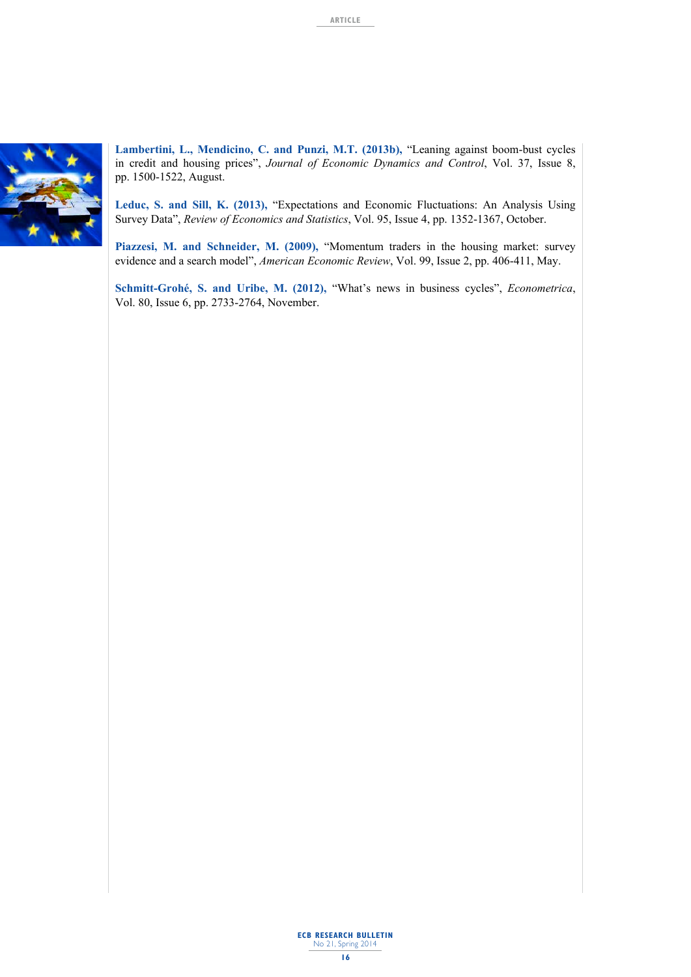

**Lambertini, L., Mendicino, C. and Punzi, M.T. (2013b),** "Leaning against boom-bust cycles in credit and housing prices", *Journal of Economic Dynamics and Control*, Vol. 37, Issue 8, pp. 1500-1522, August.

**Leduc, S. and Sill, K. (2013),** "Expectations and Economic Fluctuations: An Analysis Using Survey Data", *Review of Economics and Statistics*, Vol. 95, Issue 4, pp. 1352-1367, October.

**Piazzesi, M. and Schneider, M. (2009),** "Momentum traders in the housing market: survey evidence and a search model", *American Economic Review*, Vol. 99, Issue 2, pp. 406-411, May.

**Schmitt-Grohé, S. and Uribe, M. (2012),** "What's news in business cycles", *Econometrica*, Vol. 80, Issue 6, pp. 2733-2764, November.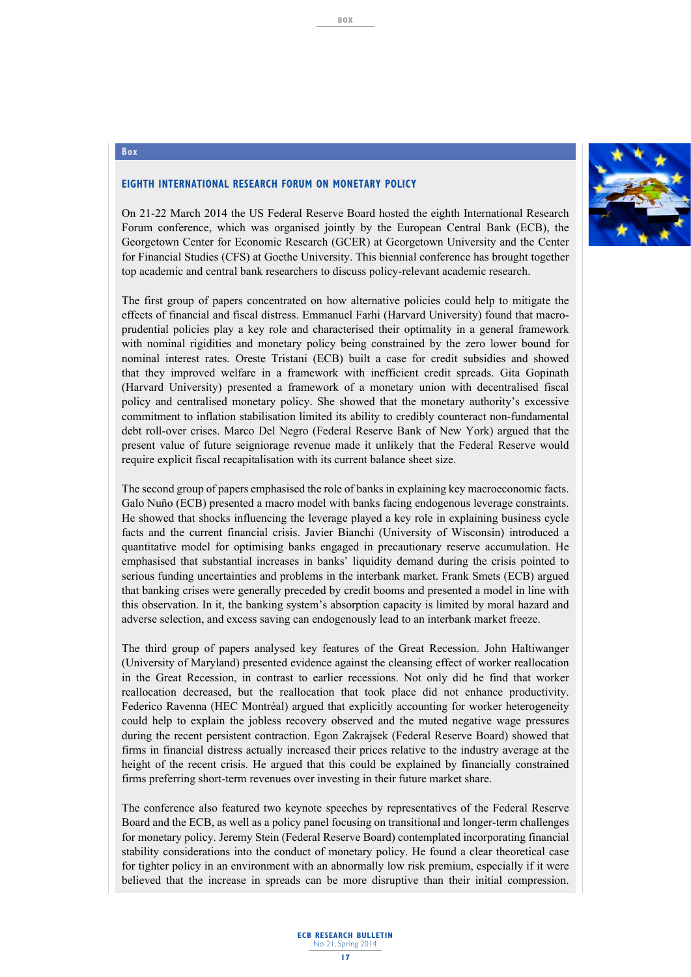

## **Box**

### **eighth International Research Forum on Monetary Policy**

On 21-22 March 2014 the US Federal Reserve Board hosted the eighth International Research Forum conference, which was organised jointly by the European Central Bank (ECB), the Georgetown Center for Economic Research (GCER) at Georgetown University and the Center for Financial Studies (CFS) at Goethe University. This biennial conference has brought together top academic and central bank researchers to discuss policy-relevant academic research.

The first group of papers concentrated on how alternative policies could help to mitigate the effects of financial and fiscal distress. Emmanuel Farhi (Harvard University) found that macroprudential policies play a key role and characterised their optimality in a general framework with nominal rigidities and monetary policy being constrained by the zero lower bound for nominal interest rates. Oreste Tristani (ECB) built a case for credit subsidies and showed that they improved welfare in a framework with inefficient credit spreads. Gita Gopinath (Harvard University) presented a framework of a monetary union with decentralised fiscal policy and centralised monetary policy. She showed that the monetary authority's excessive commitment to inflation stabilisation limited its ability to credibly counteract non-fundamental debt roll-over crises. Marco Del Negro (Federal Reserve Bank of New York) argued that the present value of future seigniorage revenue made it unlikely that the Federal Reserve would require explicit fiscal recapitalisation with its current balance sheet size.

The second group of papers emphasised the role of banks in explaining key macroeconomic facts. Galo Nuño (ECB) presented a macro model with banks facing endogenous leverage constraints. He showed that shocks influencing the leverage played a key role in explaining business cycle facts and the current financial crisis. Javier Bianchi (University of Wisconsin) introduced a quantitative model for optimising banks engaged in precautionary reserve accumulation. He emphasised that substantial increases in banks' liquidity demand during the crisis pointed to serious funding uncertainties and problems in the interbank market. Frank Smets (ECB) argued that banking crises were generally preceded by credit booms and presented a model in line with this observation. In it, the banking system's absorption capacity is limited by moral hazard and adverse selection, and excess saving can endogenously lead to an interbank market freeze.

The third group of papers analysed key features of the Great Recession. John Haltiwanger (University of Maryland) presented evidence against the cleansing effect of worker reallocation in the Great Recession, in contrast to earlier recessions. Not only did he find that worker reallocation decreased, but the reallocation that took place did not enhance productivity. Federico Ravenna (HEC Montréal) argued that explicitly accounting for worker heterogeneity could help to explain the jobless recovery observed and the muted negative wage pressures during the recent persistent contraction. Egon Zakrajsek (Federal Reserve Board) showed that firms in financial distress actually increased their prices relative to the industry average at the height of the recent crisis. He argued that this could be explained by financially constrained firms preferring short-term revenues over investing in their future market share.

The conference also featured two keynote speeches by representatives of the Federal Reserve Board and the ECB, as well as a policy panel focusing on transitional and longer-term challenges for monetary policy. Jeremy Stein (Federal Reserve Board) contemplated incorporating financial stability considerations into the conduct of monetary policy. He found a clear theoretical case for tighter policy in an environment with an abnormally low risk premium, especially if it were believed that the increase in spreads can be more disruptive than their initial compression.

**BOX**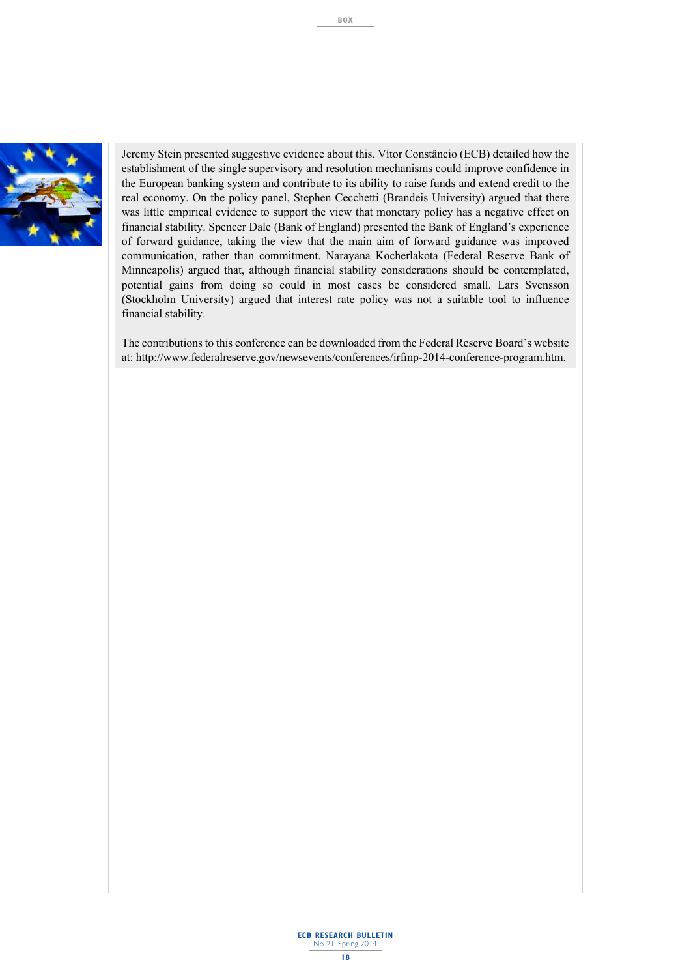

Jeremy Stein presented suggestive evidence about this. Vítor Constâncio (ECB) detailed how the establishment of the single supervisory and resolution mechanisms could improve confidence in the European banking system and contribute to its ability to raise funds and extend credit to the real economy. On the policy panel, Stephen Cecchetti (Brandeis University) argued that there was little empirical evidence to support the view that monetary policy has a negative effect on financial stability. Spencer Dale (Bank of England) presented the Bank of England's experience of forward guidance, taking the view that the main aim of forward guidance was improved communication, rather than commitment. Narayana Kocherlakota (Federal Reserve Bank of Minneapolis) argued that, although financial stability considerations should be contemplated, potential gains from doing so could in most cases be considered small. Lars Svensson (Stockholm University) argued that interest rate policy was not a suitable tool to influence financial stability.

The contributions to this conference can be downloaded from the Federal Reserve Board's website at: http://www.federalreserve.gov/newsevents/conferences/irfmp-2014-conference-program.htm.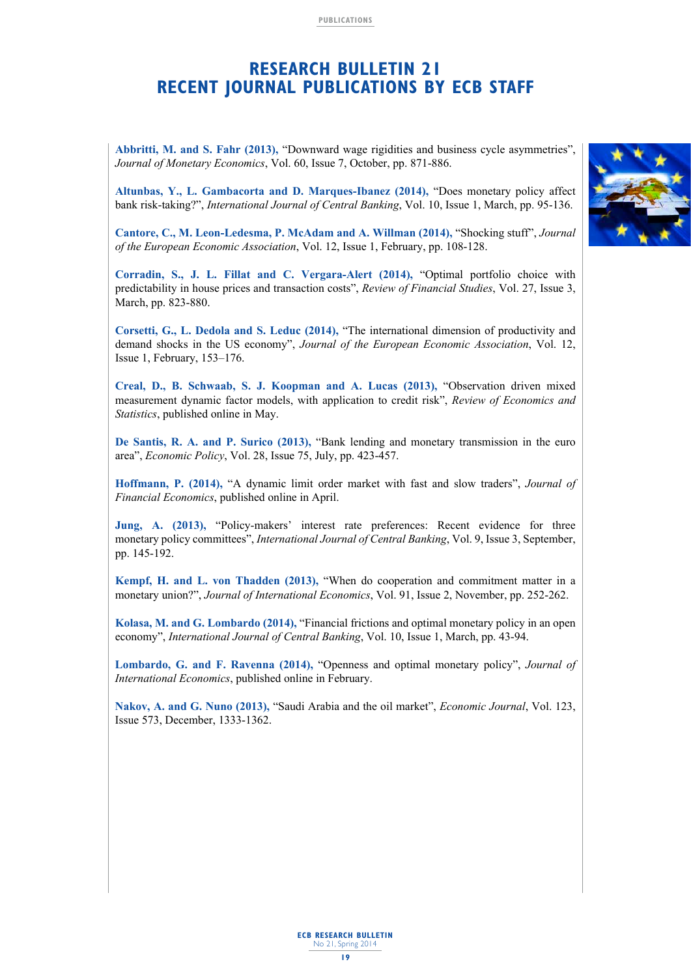# **Research Bulletin 21 Recent journal publications by ECB staff**

**Abbritti, M. and S. Fahr (2013),** "Downward wage rigidities and business cycle asymmetries", *Journal of Monetary Economics*, Vol. 60, Issue 7, October, pp. 871-886.

**Altunbas, Y., L. Gambacorta and D. Marques-Ibanez (2014),** "Does monetary policy affect bank risk-taking?", *International Journal of Central Banking*, Vol. 10, Issue 1, March, pp. 95-136.

**Cantore, C., M. Leon-Ledesma, P. McAdam and A. Willman (2014),** "Shocking stuff", *Journal of the European Economic Association*, Vol. 12, Issue 1, February, pp. 108-128.

**Corradin, S., J. L. Fillat and C. Vergara-Alert (2014),** "Optimal portfolio choice with predictability in house prices and transaction costs", *Review of Financial Studies*, Vol. 27, Issue 3, March, pp. 823-880.

**Corsetti, G., L. Dedola and S. Leduc (2014),** "The international dimension of productivity and demand shocks in the US economy", *Journal of the European Economic Association*, Vol. 12, Issue 1, February, 153–176.

**Creal, D., B. Schwaab, S. J. Koopman and A. Lucas (2013),** "Observation driven mixed measurement dynamic factor models, with application to credit risk", *Review of Economics and Statistics*, published online in May.

**De Santis, R. A. and P. Surico (2013),** "Bank lending and monetary transmission in the euro area", *Economic Policy*, Vol. 28, Issue 75, July, pp. 423-457.

**Hoffmann, P. (2014),** "A dynamic limit order market with fast and slow traders", *Journal of Financial Economics*, published online in April.

**Jung, A. (2013),** "Policy-makers' interest rate preferences: Recent evidence for three monetary policy committees", *International Journal of Central Banking*, Vol. 9, Issue 3, September, pp. 145-192.

**Kempf, H. and L. von Thadden (2013),** "When do cooperation and commitment matter in a monetary union?", *Journal of International Economics*, Vol. 91, Issue 2, November, pp. 252-262.

**Kolasa, M. and G. Lombardo (2014),** "Financial frictions and optimal monetary policy in an open economy", *International Journal of Central Banking*, Vol. 10, Issue 1, March, pp. 43-94.

**Lombardo, G. and F. Ravenna (2014),** "Openness and optimal monetary policy", *Journal of International Economics*, published online in February.

**Nakov, A. and G. Nuno (2013),** "Saudi Arabia and the oil market", *Economic Journal*, Vol. 123, Issue 573, December, 1333-1362.